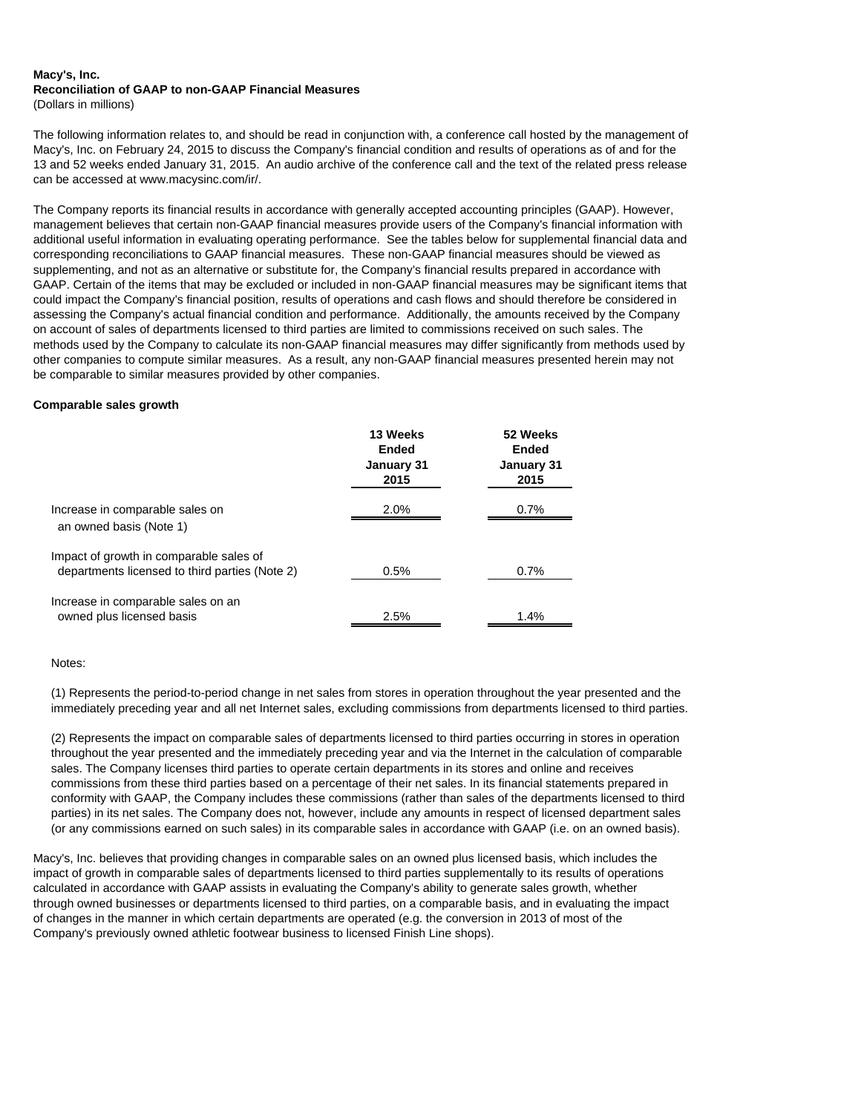#### **Macy's, Inc. Reconciliation of GAAP to non-GAAP Financial Measures** (Dollars in millions)

The following information relates to, and should be read in conjunction with, a conference call hosted by the management of Macy's, Inc. on February 24, 2015 to discuss the Company's financial condition and results of operations as of and for the 13 and 52 weeks ended January 31, 2015. An audio archive of the conference call and the text of the related press release can be accessed at www.macysinc.com/ir/.

The Company reports its financial results in accordance with generally accepted accounting principles (GAAP). However, management believes that certain non-GAAP financial measures provide users of the Company's financial information with additional useful information in evaluating operating performance. See the tables below for supplemental financial data and corresponding reconciliations to GAAP financial measures. These non-GAAP financial measures should be viewed as supplementing, and not as an alternative or substitute for, the Company's financial results prepared in accordance with GAAP. Certain of the items that may be excluded or included in non-GAAP financial measures may be significant items that could impact the Company's financial position, results of operations and cash flows and should therefore be considered in assessing the Company's actual financial condition and performance. Additionally, the amounts received by the Company on account of sales of departments licensed to third parties are limited to commissions received on such sales. The methods used by the Company to calculate its non-GAAP financial measures may differ significantly from methods used by other companies to compute similar measures. As a result, any non-GAAP financial measures presented herein may not be comparable to similar measures provided by other companies.

### **Comparable sales growth**

|                                                                 | 13 Weeks<br>Ended<br>January 31<br>2015 | 52 Weeks<br>Ended<br>January 31<br>2015 |
|-----------------------------------------------------------------|-----------------------------------------|-----------------------------------------|
| Increase in comparable sales on                                 | 2.0%                                    | 0.7%                                    |
| an owned basis (Note 1)                                         |                                         |                                         |
| Impact of growth in comparable sales of                         | 0.5%                                    | 0.7%                                    |
| departments licensed to third parties (Note 2)                  |                                         |                                         |
| Increase in comparable sales on an<br>owned plus licensed basis | 2.5%                                    | 1.4%                                    |
|                                                                 |                                         |                                         |

Notes:

(1) Represents the period-to-period change in net sales from stores in operation throughout the year presented and the immediately preceding year and all net Internet sales, excluding commissions from departments licensed to third parties.

(2) Represents the impact on comparable sales of departments licensed to third parties occurring in stores in operation throughout the year presented and the immediately preceding year and via the Internet in the calculation of comparable sales. The Company licenses third parties to operate certain departments in its stores and online and receives commissions from these third parties based on a percentage of their net sales. In its financial statements prepared in conformity with GAAP, the Company includes these commissions (rather than sales of the departments licensed to third parties) in its net sales. The Company does not, however, include any amounts in respect of licensed department sales (or any commissions earned on such sales) in its comparable sales in accordance with GAAP (i.e. on an owned basis).

Macy's, Inc. believes that providing changes in comparable sales on an owned plus licensed basis, which includes the impact of growth in comparable sales of departments licensed to third parties supplementally to its results of operations calculated in accordance with GAAP assists in evaluating the Company's ability to generate sales growth, whether through owned businesses or departments licensed to third parties, on a comparable basis, and in evaluating the impact of changes in the manner in which certain departments are operated (e.g. the conversion in 2013 of most of the Company's previously owned athletic footwear business to licensed Finish Line shops).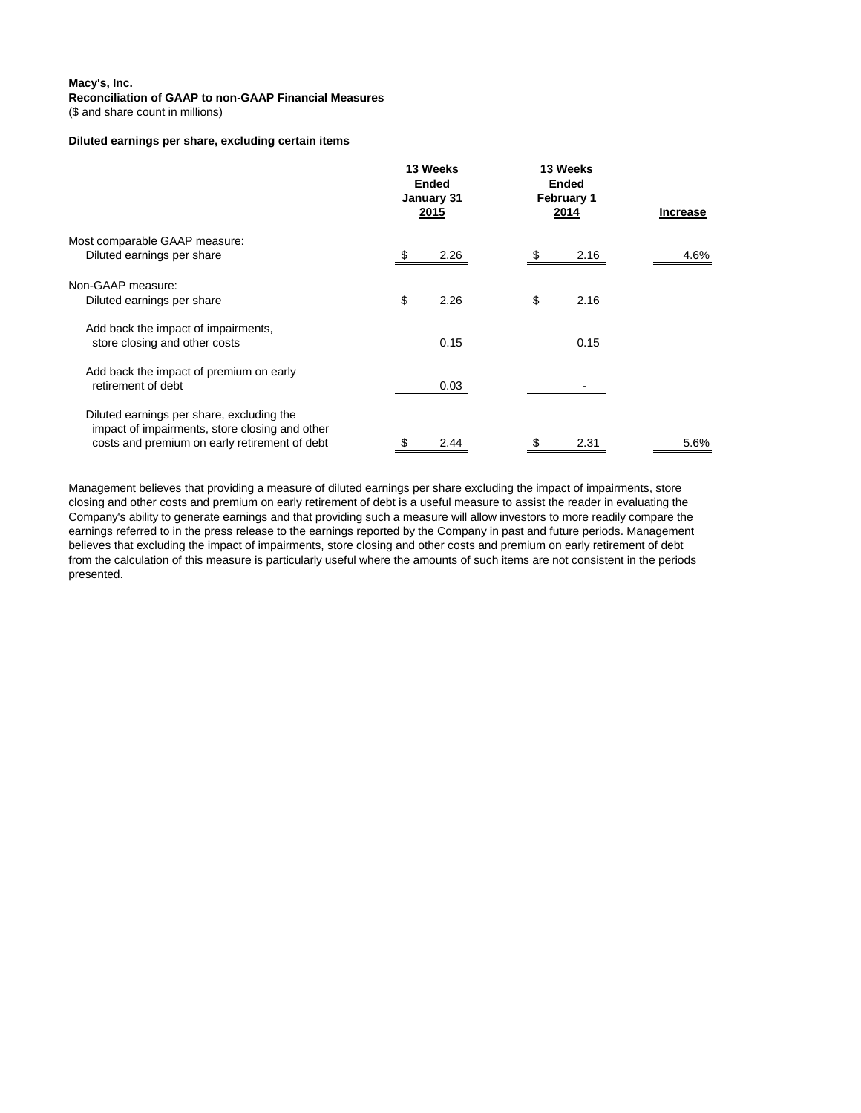(\$ and share count in millions)

## **Diluted earnings per share, excluding certain items**

|                                                                                                                                              | 13 Weeks<br><b>Ended</b><br>January 31<br>2015 | 13 Weeks<br>Ended<br><b>February 1</b><br>2014 | <b>Increase</b> |  |
|----------------------------------------------------------------------------------------------------------------------------------------------|------------------------------------------------|------------------------------------------------|-----------------|--|
| Most comparable GAAP measure:                                                                                                                |                                                |                                                |                 |  |
| Diluted earnings per share                                                                                                                   | 2.26                                           | 2.16                                           | 4.6%            |  |
| Non-GAAP measure:                                                                                                                            |                                                |                                                |                 |  |
| Diluted earnings per share                                                                                                                   | \$<br>2.26                                     | \$<br>2.16                                     |                 |  |
| Add back the impact of impairments,<br>store closing and other costs                                                                         | 0.15                                           | 0.15                                           |                 |  |
| Add back the impact of premium on early<br>retirement of debt                                                                                | 0.03                                           |                                                |                 |  |
| Diluted earnings per share, excluding the<br>impact of impairments, store closing and other<br>costs and premium on early retirement of debt | 2.44<br>S                                      | S<br>2.31                                      | 5.6%            |  |

Management believes that providing a measure of diluted earnings per share excluding the impact of impairments, store closing and other costs and premium on early retirement of debt is a useful measure to assist the reader in evaluating the Company's ability to generate earnings and that providing such a measure will allow investors to more readily compare the earnings referred to in the press release to the earnings reported by the Company in past and future periods. Management believes that excluding the impact of impairments, store closing and other costs and premium on early retirement of debt from the calculation of this measure is particularly useful where the amounts of such items are not consistent in the periods presented.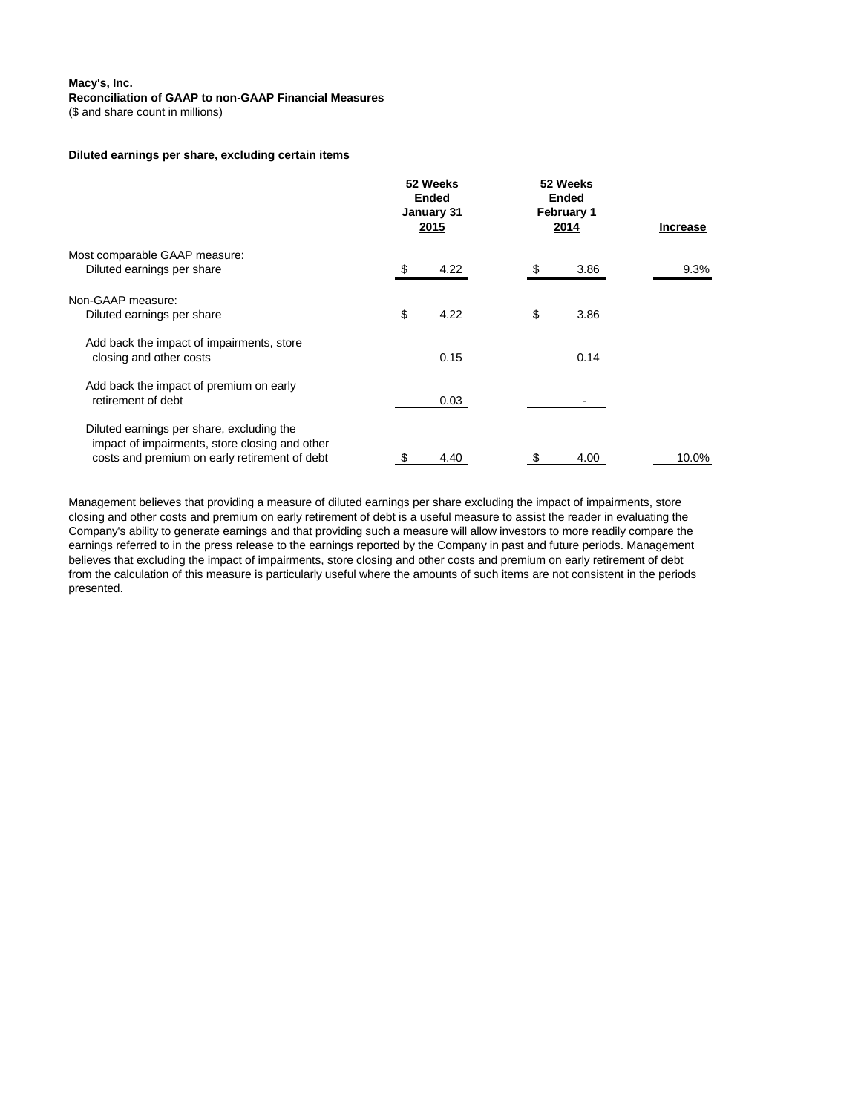(\$ and share count in millions)

#### **Diluted earnings per share, excluding certain items**

|                                                                                                                                              | 52 Weeks<br><b>Ended</b><br>January 31<br>2015 | 52 Weeks<br><b>Ended</b><br><b>February 1</b><br>2014 | <b>Increase</b> |
|----------------------------------------------------------------------------------------------------------------------------------------------|------------------------------------------------|-------------------------------------------------------|-----------------|
| Most comparable GAAP measure:<br>Diluted earnings per share                                                                                  | 4.22                                           | 3.86<br>-S                                            | $9.3\%$         |
| Non-GAAP measure:                                                                                                                            |                                                |                                                       |                 |
| Diluted earnings per share                                                                                                                   | \$<br>4.22                                     | \$<br>3.86                                            |                 |
| Add back the impact of impairments, store<br>closing and other costs                                                                         | 0.15                                           | 0.14                                                  |                 |
| Add back the impact of premium on early<br>retirement of debt                                                                                | 0.03                                           |                                                       |                 |
| Diluted earnings per share, excluding the<br>impact of impairments, store closing and other<br>costs and premium on early retirement of debt | 4.40<br>S                                      | S<br>4.00                                             | 10.0%           |

Management believes that providing a measure of diluted earnings per share excluding the impact of impairments, store closing and other costs and premium on early retirement of debt is a useful measure to assist the reader in evaluating the Company's ability to generate earnings and that providing such a measure will allow investors to more readily compare the earnings referred to in the press release to the earnings reported by the Company in past and future periods. Management believes that excluding the impact of impairments, store closing and other costs and premium on early retirement of debt from the calculation of this measure is particularly useful where the amounts of such items are not consistent in the periods presented.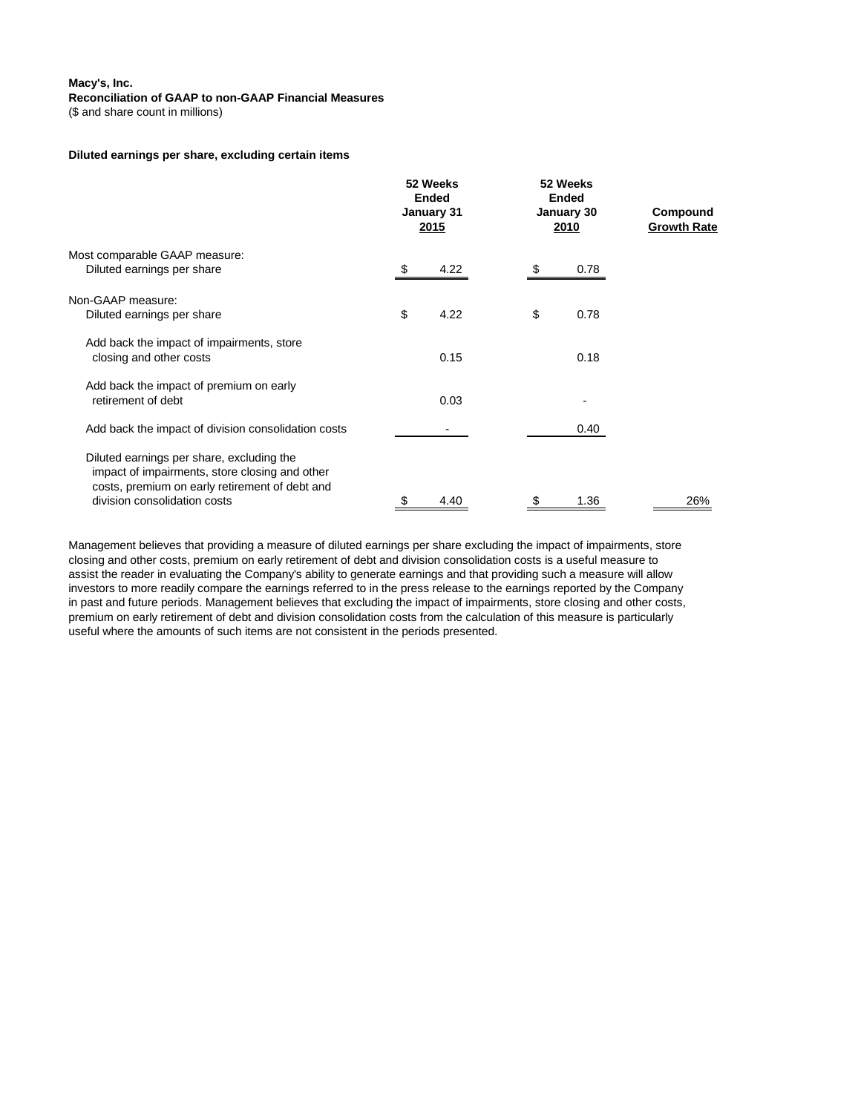(\$ and share count in millions)

#### **Diluted earnings per share, excluding certain items**

|                                                                                |    | 52 Weeks<br><b>Ended</b><br>January 31<br>2015 |    | 52 Weeks<br><b>Ended</b><br>January 30<br><u>2010</u> | Compound<br><b>Growth Rate</b> |  |
|--------------------------------------------------------------------------------|----|------------------------------------------------|----|-------------------------------------------------------|--------------------------------|--|
| Most comparable GAAP measure:                                                  |    |                                                |    |                                                       |                                |  |
| Diluted earnings per share                                                     | -S | 4.22                                           |    | 0.78                                                  |                                |  |
| Non-GAAP measure:                                                              |    |                                                |    |                                                       |                                |  |
| Diluted earnings per share                                                     | \$ | 4.22                                           | \$ | 0.78                                                  |                                |  |
| Add back the impact of impairments, store                                      |    |                                                |    |                                                       |                                |  |
| closing and other costs                                                        |    | 0.15                                           |    | 0.18                                                  |                                |  |
| Add back the impact of premium on early                                        |    |                                                |    |                                                       |                                |  |
| retirement of debt                                                             |    | 0.03                                           |    |                                                       |                                |  |
| Add back the impact of division consolidation costs                            |    |                                                |    | 0.40                                                  |                                |  |
| Diluted earnings per share, excluding the                                      |    |                                                |    |                                                       |                                |  |
| impact of impairments, store closing and other                                 |    |                                                |    |                                                       |                                |  |
| costs, premium on early retirement of debt and<br>division consolidation costs | \$ | 4.40                                           | \$ | 1.36                                                  | 26%                            |  |
|                                                                                |    |                                                |    |                                                       |                                |  |

Management believes that providing a measure of diluted earnings per share excluding the impact of impairments, store closing and other costs, premium on early retirement of debt and division consolidation costs is a useful measure to assist the reader in evaluating the Company's ability to generate earnings and that providing such a measure will allow investors to more readily compare the earnings referred to in the press release to the earnings reported by the Company in past and future periods. Management believes that excluding the impact of impairments, store closing and other costs, premium on early retirement of debt and division consolidation costs from the calculation of this measure is particularly useful where the amounts of such items are not consistent in the periods presented.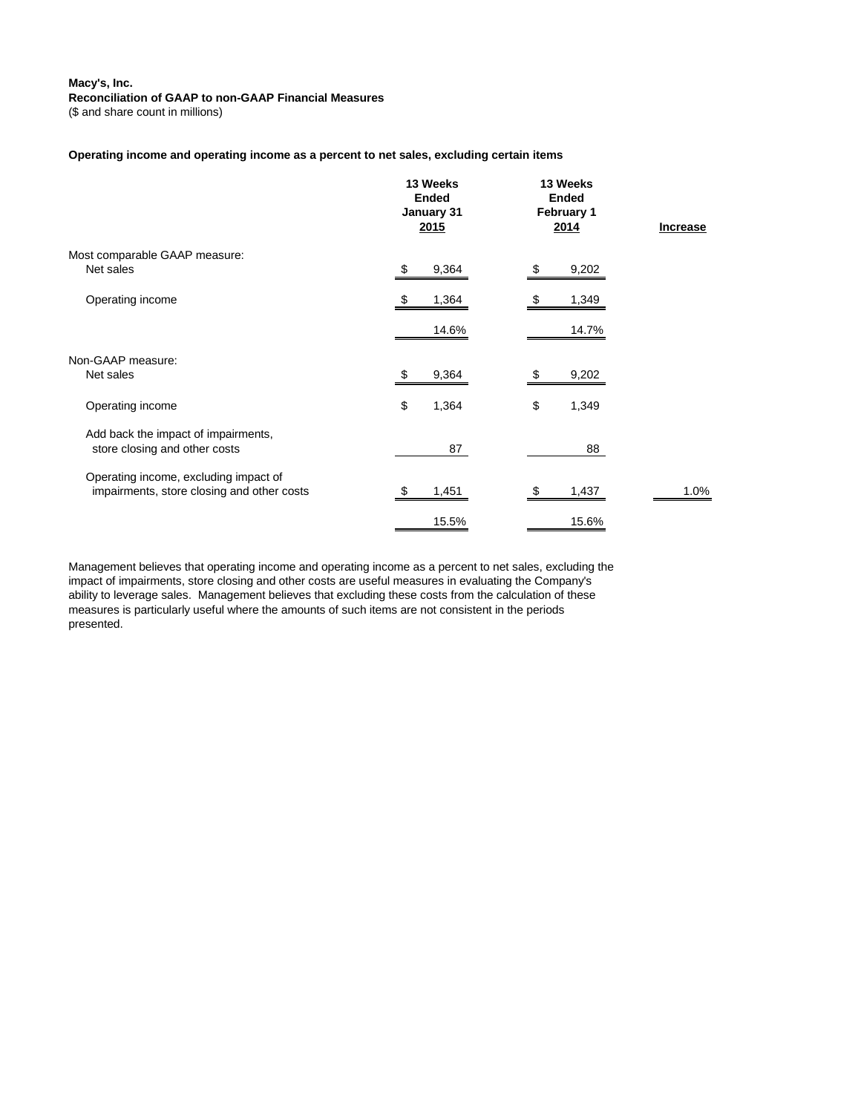(\$ and share count in millions)

#### **Operating income and operating income as a percent to net sales, excluding certain items**

|                                                                                     | 13 Weeks<br><b>Ended</b><br>January 31<br><u>2015</u> | 13 Weeks<br><b>Ended</b><br>February 1<br>2014 | <b>Increase</b> |  |
|-------------------------------------------------------------------------------------|-------------------------------------------------------|------------------------------------------------|-----------------|--|
| Most comparable GAAP measure:<br>Net sales                                          | 9,364<br>\$                                           | 9,202                                          |                 |  |
| Operating income                                                                    | 1,364<br>- 56                                         | 1,349<br>\$                                    |                 |  |
|                                                                                     | 14.6%                                                 | 14.7%                                          |                 |  |
| Non-GAAP measure:<br>Net sales                                                      | 9,364<br>- 5                                          | 9,202                                          |                 |  |
| Operating income                                                                    | \$<br>1,364                                           | \$<br>1,349                                    |                 |  |
| Add back the impact of impairments,<br>store closing and other costs                | 87                                                    | 88                                             |                 |  |
| Operating income, excluding impact of<br>impairments, store closing and other costs | 1,451<br>- \$                                         | 1,437<br>\$                                    | 1.0%            |  |
|                                                                                     | 15.5%                                                 | 15.6%                                          |                 |  |

Management believes that operating income and operating income as a percent to net sales, excluding the impact of impairments, store closing and other costs are useful measures in evaluating the Company's ability to leverage sales. Management believes that excluding these costs from the calculation of these measures is particularly useful where the amounts of such items are not consistent in the periods presented.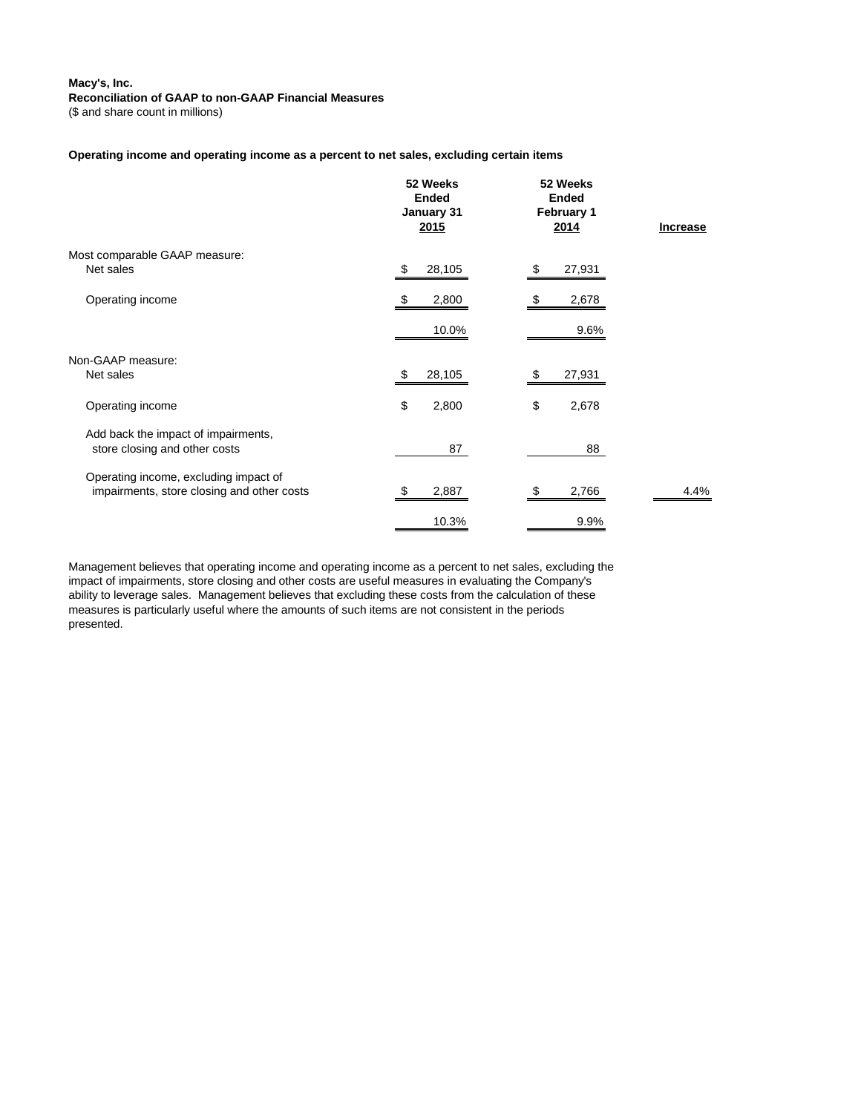(\$ and share count in millions)

#### **Operating income and operating income as a percent to net sales, excluding certain items**

|                                                                                     | 52 Weeks<br><b>Ended</b><br>January 31<br><u>2015</u> | 52 Weeks<br><b>Ended</b><br>February 1<br>2014 | <b>Increase</b> |
|-------------------------------------------------------------------------------------|-------------------------------------------------------|------------------------------------------------|-----------------|
| Most comparable GAAP measure:<br>Net sales                                          | 28,105<br>\$                                          | 27,931<br>\$                                   |                 |
| Operating income                                                                    | 2,800<br>- \$                                         | 2,678<br>- 5                                   |                 |
|                                                                                     | 10.0%                                                 | 9.6%                                           |                 |
| Non-GAAP measure:<br>Net sales                                                      | 28,105<br>\$                                          | 27,931<br>-\$                                  |                 |
| Operating income                                                                    | \$<br>2,800                                           | \$<br>2,678                                    |                 |
| Add back the impact of impairments,<br>store closing and other costs                | 87                                                    | 88                                             |                 |
| Operating income, excluding impact of<br>impairments, store closing and other costs | 2,887<br>- \$                                         | 2,766<br>- \$                                  | 4.4%            |
|                                                                                     | 10.3%                                                 | 9.9%                                           |                 |

Management believes that operating income and operating income as a percent to net sales, excluding the impact of impairments, store closing and other costs are useful measures in evaluating the Company's ability to leverage sales. Management believes that excluding these costs from the calculation of these measures is particularly useful where the amounts of such items are not consistent in the periods presented.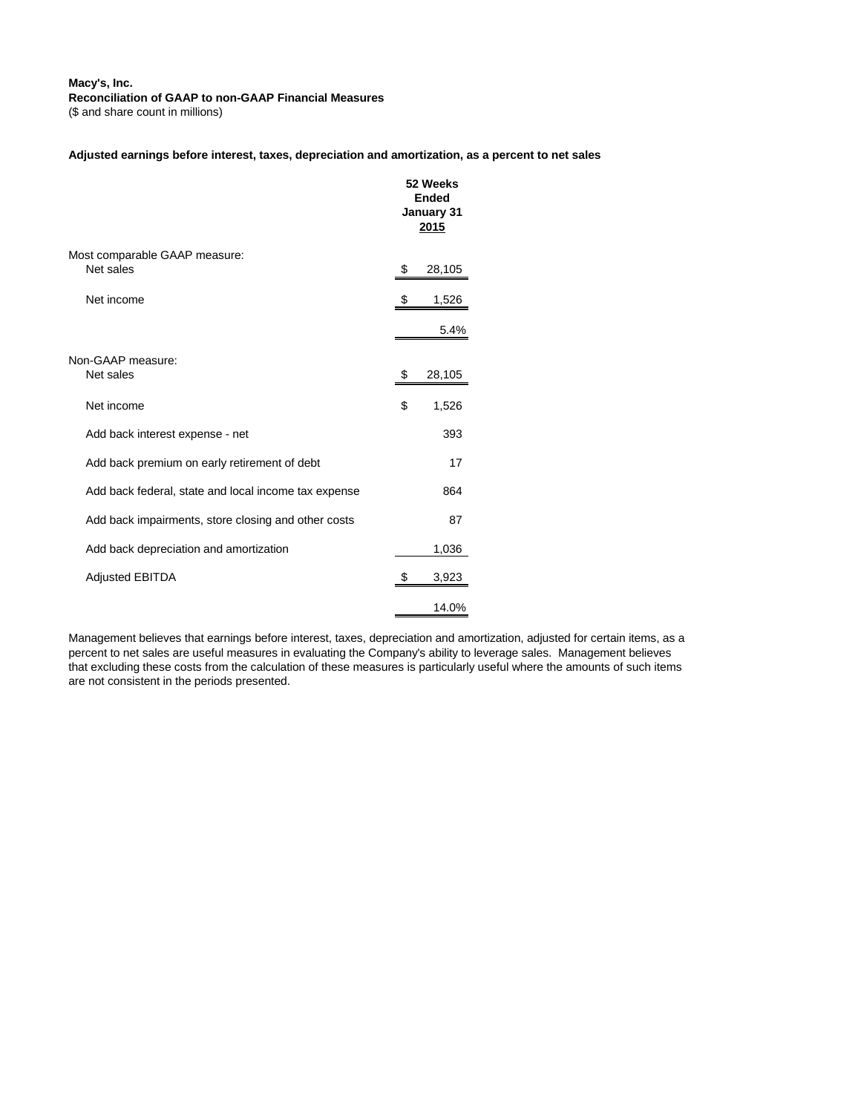(\$ and share count in millions)

#### **Adjusted earnings before interest, taxes, depreciation and amortization, as a percent to net sales**

|                                                      | 52 Weeks<br>Ended<br>January 31<br>2015 |
|------------------------------------------------------|-----------------------------------------|
| Most comparable GAAP measure:<br>Net sales           | \$<br>28,105                            |
| Net income                                           | \$<br>1,526                             |
|                                                      | 5.4%                                    |
| Non-GAAP measure:<br>Net sales                       | \$<br>28,105                            |
| Net income                                           | \$<br>1,526                             |
| Add back interest expense - net                      | 393                                     |
| Add back premium on early retirement of debt         | 17                                      |
| Add back federal, state and local income tax expense | 864                                     |
| Add back impairments, store closing and other costs  | 87                                      |
| Add back depreciation and amortization               | 1,036                                   |
| <b>Adjusted EBITDA</b>                               | \$<br>3,923                             |
|                                                      | 14.0%                                   |

Management believes that earnings before interest, taxes, depreciation and amortization, adjusted for certain items, as a percent to net sales are useful measures in evaluating the Company's ability to leverage sales. Management believes that excluding these costs from the calculation of these measures is particularly useful where the amounts of such items are not consistent in the periods presented.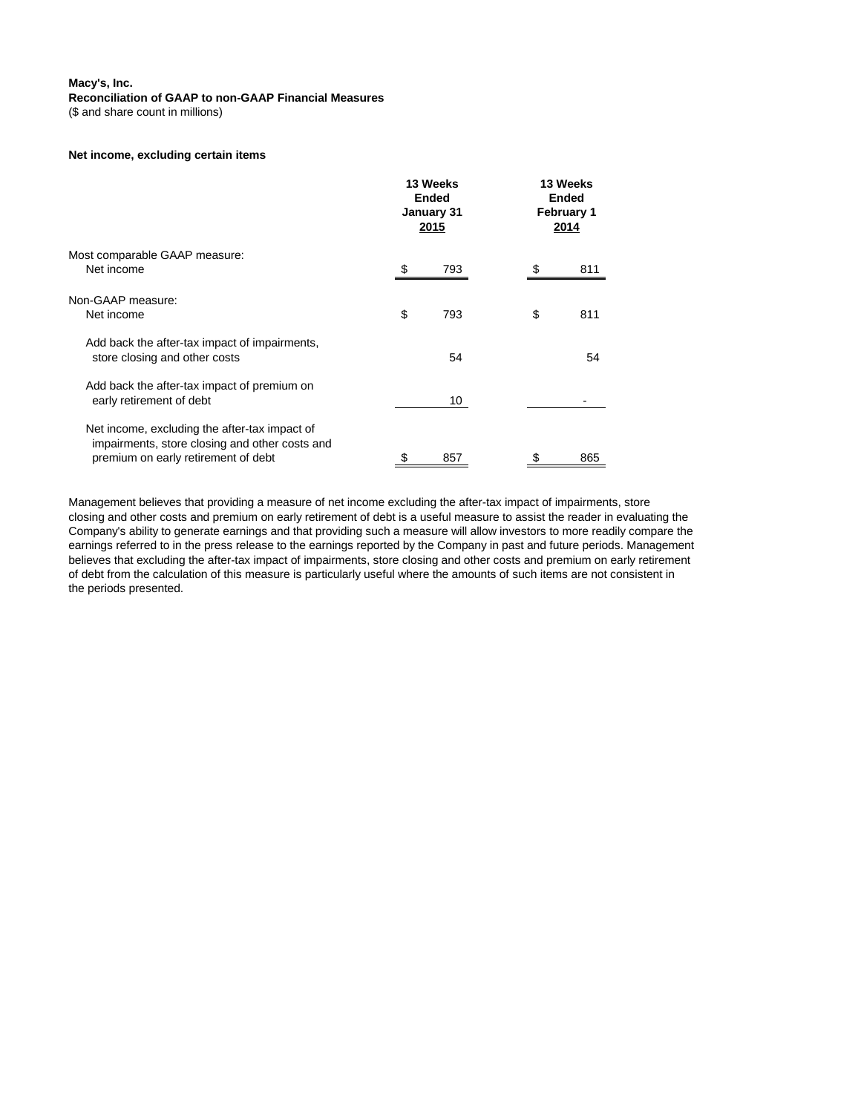(\$ and share count in millions)

## **Net income, excluding certain items**

|                                                                                                                                        | 13 Weeks<br><b>Ended</b><br>January 31<br><u> 2015 </u> | 13 Weeks<br>Ended<br><b>February 1</b><br>2014 |  |
|----------------------------------------------------------------------------------------------------------------------------------------|---------------------------------------------------------|------------------------------------------------|--|
| Most comparable GAAP measure:<br>Net income                                                                                            | 793                                                     | 811                                            |  |
| Non-GAAP measure:<br>Net income                                                                                                        | \$<br>793                                               | \$<br>811                                      |  |
| Add back the after-tax impact of impairments,<br>store closing and other costs                                                         | 54                                                      | 54                                             |  |
| Add back the after-tax impact of premium on<br>early retirement of debt                                                                | 10                                                      |                                                |  |
| Net income, excluding the after-tax impact of<br>impairments, store closing and other costs and<br>premium on early retirement of debt | \$<br>857                                               | 865                                            |  |

Management believes that providing a measure of net income excluding the after-tax impact of impairments, store closing and other costs and premium on early retirement of debt is a useful measure to assist the reader in evaluating the Company's ability to generate earnings and that providing such a measure will allow investors to more readily compare the earnings referred to in the press release to the earnings reported by the Company in past and future periods. Management believes that excluding the after-tax impact of impairments, store closing and other costs and premium on early retirement of debt from the calculation of this measure is particularly useful where the amounts of such items are not consistent in the periods presented.